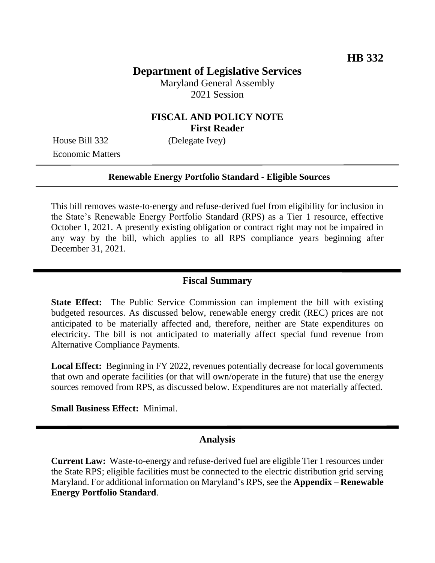# **Department of Legislative Services**

Maryland General Assembly 2021 Session

## **FISCAL AND POLICY NOTE First Reader**

House Bill 332 (Delegate Ivey) Economic Matters

#### **Renewable Energy Portfolio Standard - Eligible Sources**

This bill removes waste-to-energy and refuse-derived fuel from eligibility for inclusion in the State's Renewable Energy Portfolio Standard (RPS) as a Tier 1 resource, effective October 1, 2021. A presently existing obligation or contract right may not be impaired in any way by the bill, which applies to all RPS compliance years beginning after December 31, 2021.

#### **Fiscal Summary**

**State Effect:** The Public Service Commission can implement the bill with existing budgeted resources. As discussed below, renewable energy credit (REC) prices are not anticipated to be materially affected and, therefore, neither are State expenditures on electricity. The bill is not anticipated to materially affect special fund revenue from Alternative Compliance Payments.

**Local Effect:** Beginning in FY 2022, revenues potentially decrease for local governments that own and operate facilities (or that will own/operate in the future) that use the energy sources removed from RPS, as discussed below. Expenditures are not materially affected.

**Small Business Effect:** Minimal.

### **Analysis**

**Current Law:** Waste-to-energy and refuse-derived fuel are eligible Tier 1 resources under the State RPS; eligible facilities must be connected to the electric distribution grid serving Maryland. For additional information on Maryland's RPS, see the **Appendix – Renewable Energy Portfolio Standard**.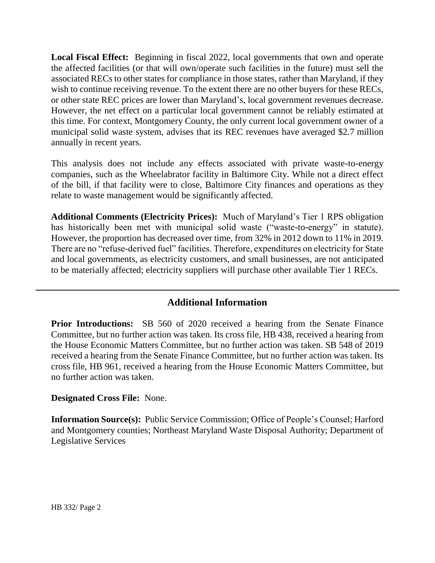**Local Fiscal Effect:** Beginning in fiscal 2022, local governments that own and operate the affected facilities (or that will own/operate such facilities in the future) must sell the associated RECs to other states for compliance in those states, rather than Maryland, if they wish to continue receiving revenue. To the extent there are no other buyers for these RECs, or other state REC prices are lower than Maryland's, local government revenues decrease. However, the net effect on a particular local government cannot be reliably estimated at this time. For context, Montgomery County, the only current local government owner of a municipal solid waste system, advises that its REC revenues have averaged \$2.7 million annually in recent years.

This analysis does not include any effects associated with private waste-to-energy companies, such as the Wheelabrator facility in Baltimore City. While not a direct effect of the bill, if that facility were to close, Baltimore City finances and operations as they relate to waste management would be significantly affected.

**Additional Comments (Electricity Prices):** Much of Maryland's Tier 1 RPS obligation has historically been met with municipal solid waste ("waste-to-energy" in statute). However, the proportion has decreased over time, from 32% in 2012 down to 11% in 2019. There are no "refuse-derived fuel" facilities. Therefore, expenditures on electricity for State and local governments, as electricity customers, and small businesses, are not anticipated to be materially affected; electricity suppliers will purchase other available Tier 1 RECs.

# **Additional Information**

**Prior Introductions:** SB 560 of 2020 received a hearing from the Senate Finance Committee, but no further action was taken. Its cross file, HB 438, received a hearing from the House Economic Matters Committee, but no further action was taken. SB 548 of 2019 received a hearing from the Senate Finance Committee, but no further action was taken. Its cross file, HB 961, received a hearing from the House Economic Matters Committee, but no further action was taken.

#### **Designated Cross File:** None.

**Information Source(s):** Public Service Commission; Office of People's Counsel; Harford and Montgomery counties; Northeast Maryland Waste Disposal Authority; Department of Legislative Services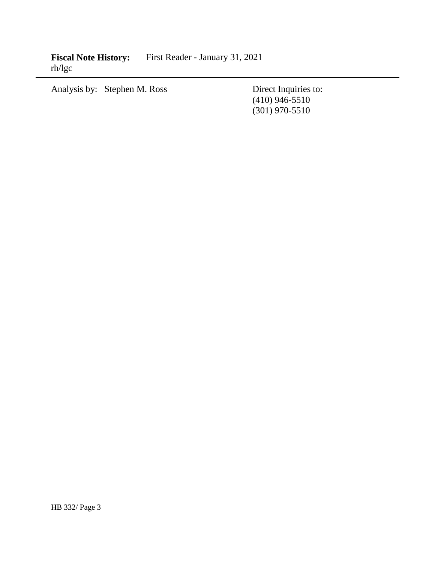**Fiscal Note History:** First Reader - January 31, 2021 rh/lgc

Analysis by: Stephen M. Ross Direct Inquiries to:

(410) 946-5510 (301) 970-5510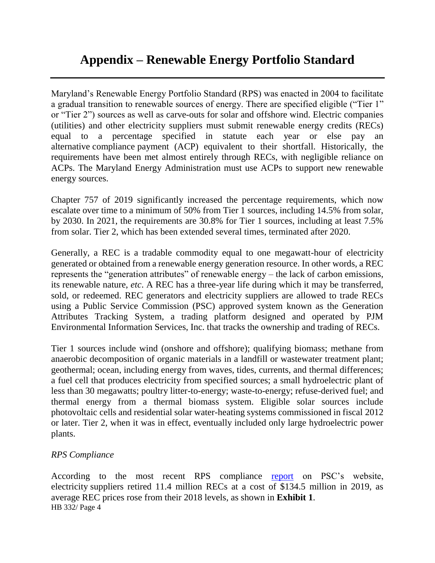Maryland's Renewable Energy Portfolio Standard (RPS) was enacted in 2004 to facilitate a gradual transition to renewable sources of energy. There are specified eligible ("Tier 1" or "Tier 2") sources as well as carve-outs for solar and offshore wind. Electric companies (utilities) and other electricity suppliers must submit renewable energy credits (RECs) equal to a percentage specified in statute each year or else pay an alternative compliance payment (ACP) equivalent to their shortfall. Historically, the requirements have been met almost entirely through RECs, with negligible reliance on ACPs. The Maryland Energy Administration must use ACPs to support new renewable energy sources.

Chapter 757 of 2019 significantly increased the percentage requirements, which now escalate over time to a minimum of 50% from Tier 1 sources, including 14.5% from solar, by 2030. In 2021, the requirements are 30.8% for Tier 1 sources, including at least 7.5% from solar. Tier 2, which has been extended several times, terminated after 2020.

Generally, a REC is a tradable commodity equal to one megawatt-hour of electricity generated or obtained from a renewable energy generation resource. In other words, a REC represents the "generation attributes" of renewable energy – the lack of carbon emissions, its renewable nature, *etc*. A REC has a three-year life during which it may be transferred, sold, or redeemed. REC generators and electricity suppliers are allowed to trade RECs using a Public Service Commission (PSC) approved system known as the Generation Attributes Tracking System, a trading platform designed and operated by PJM Environmental Information Services, Inc. that tracks the ownership and trading of RECs.

Tier 1 sources include wind (onshore and offshore); qualifying biomass; methane from anaerobic decomposition of organic materials in a landfill or wastewater treatment plant; geothermal; ocean, including energy from waves, tides, currents, and thermal differences; a fuel cell that produces electricity from specified sources; a small hydroelectric plant of less than 30 megawatts; poultry litter-to-energy; waste-to-energy; refuse-derived fuel; and thermal energy from a thermal biomass system. Eligible solar sources include photovoltaic cells and residential solar water-heating systems commissioned in fiscal 2012 or later. Tier 2, when it was in effect, eventually included only large hydroelectric power plants.

## *RPS Compliance*

HB 332/ Page 4 According to the most recent RPS compliance [report](https://www.psc.state.md.us/wp-content/uploads/CY19-RPS-Annual-Report-Final-1.pdf) on PSC's website, electricity suppliers retired 11.4 million RECs at a cost of \$134.5 million in 2019, as average REC prices rose from their 2018 levels, as shown in **Exhibit 1**.